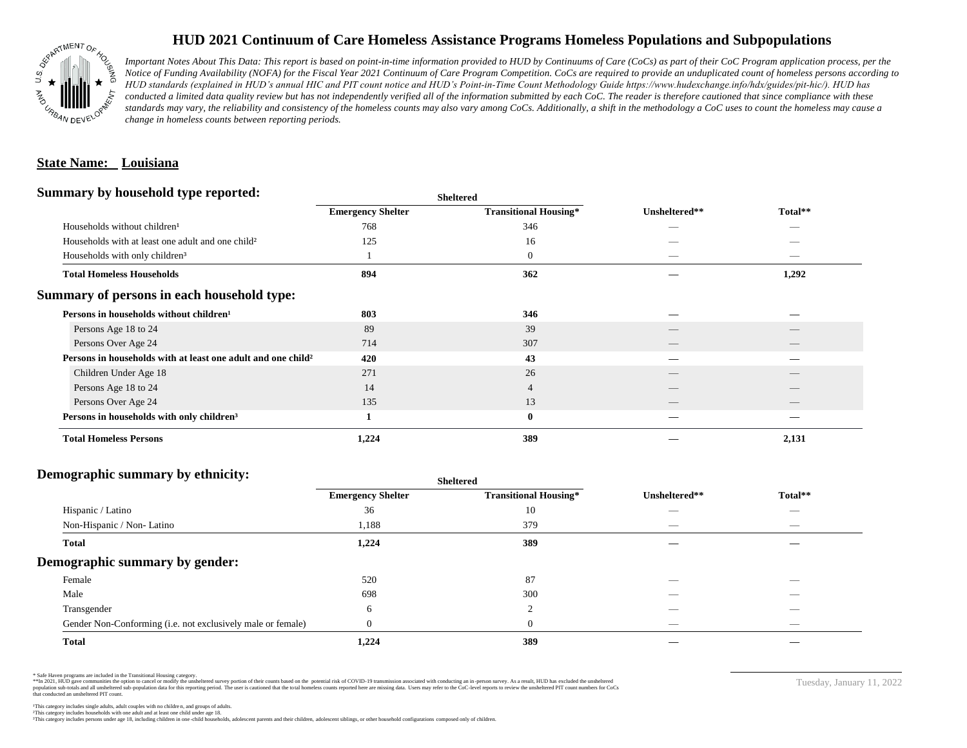

# **HUD 2021 Continuum of Care Homeless Assistance Programs Homeless Populations and Subpopulations**

*Important Notes About This Data: This report is based on point-in-time information provided to HUD by Continuums of Care (CoCs) as part of their CoC Program application process, per the Notice of Funding Availability (NOFA) for the Fiscal Year 2021 Continuum of Care Program Competition. CoCs are required to provide an unduplicated count of homeless persons according to HUD standards (explained in HUD's annual HIC and PIT count notice and HUD's Point-in-Time Count Methodology Guide https://www.hudexchange.info/hdx/guides/pit-hic/). HUD has*  conducted a limited data quality review but has not independently verified all of the information submitted by each CoC. The reader is therefore cautioned that since compliance with these standards may vary, the reliability and consistency of the homeless counts may also vary among CoCs. Additionally, a shift in the methodology a CoC uses to count the homeless may cause a *change in homeless counts between reporting periods.*

## **State Name: Louisiana**

### **Summary by household type reported:**

|                          |                              | Unsheltered**            |                          |  |
|--------------------------|------------------------------|--------------------------|--------------------------|--|
| <b>Emergency Shelter</b> | <b>Transitional Housing*</b> |                          | Total**                  |  |
| 768                      | 346                          |                          |                          |  |
| 125                      | 16                           |                          |                          |  |
|                          | $\boldsymbol{0}$             |                          |                          |  |
| 894                      | 362                          |                          | 1,292                    |  |
|                          |                              |                          |                          |  |
| 803                      | 346                          |                          |                          |  |
| 89                       | 39                           |                          |                          |  |
| 714                      | 307                          | $\overline{\phantom{a}}$ | $\qquad \qquad$          |  |
| 420                      | 43                           |                          |                          |  |
| 271                      | 26                           |                          |                          |  |
| 14                       | 4                            |                          |                          |  |
| 135                      | 13                           | __                       | $\overline{\phantom{a}}$ |  |
|                          | $\bf{0}$                     |                          |                          |  |
| 1,224                    | 389                          |                          | 2,131                    |  |
|                          |                              | <b>Sheltered</b>         |                          |  |

#### **Demographic summary by ethnicity:**

|                                                             | <b>Sheltered</b>         |                              |                          |                          |  |
|-------------------------------------------------------------|--------------------------|------------------------------|--------------------------|--------------------------|--|
|                                                             | <b>Emergency Shelter</b> | <b>Transitional Housing*</b> | Unsheltered**            | Total**                  |  |
| Hispanic / Latino                                           | 36                       | 10                           |                          | $\overline{\phantom{a}}$ |  |
| Non-Hispanic / Non-Latino                                   | 1,188                    | 379                          | __                       | $\overline{\phantom{a}}$ |  |
| <b>Total</b>                                                | 1,224                    | 389                          |                          |                          |  |
| Demographic summary by gender:                              |                          |                              |                          |                          |  |
| Female                                                      | 520                      | 87                           | _                        | _                        |  |
| Male                                                        | 698                      | 300                          |                          |                          |  |
| Transgender                                                 | 6                        | $\mathcal{D}$<br>∠           |                          |                          |  |
| Gender Non-Conforming (i.e. not exclusively male or female) |                          | $\theta$                     | $\overline{\phantom{a}}$ | $-$                      |  |
| <b>Total</b>                                                | 1,224                    | 389                          |                          |                          |  |

\* Safe Haven programs are included in the Transitional Housing category.

\*\*In 2021, HUD gave communities the option to cancel or modify the unsheltered survey portion of their counts based on the potential risk of COVID-19 transmission associated with conducting an in-person survey. As a result n political and distribution of the resort in the constant of the experimental and the constant of the constant of the constant of the constant of the constant of the constant of the constant of the constant of the constan that conducted an unsheltered PIT count.

Tuesday, January 11, 2022